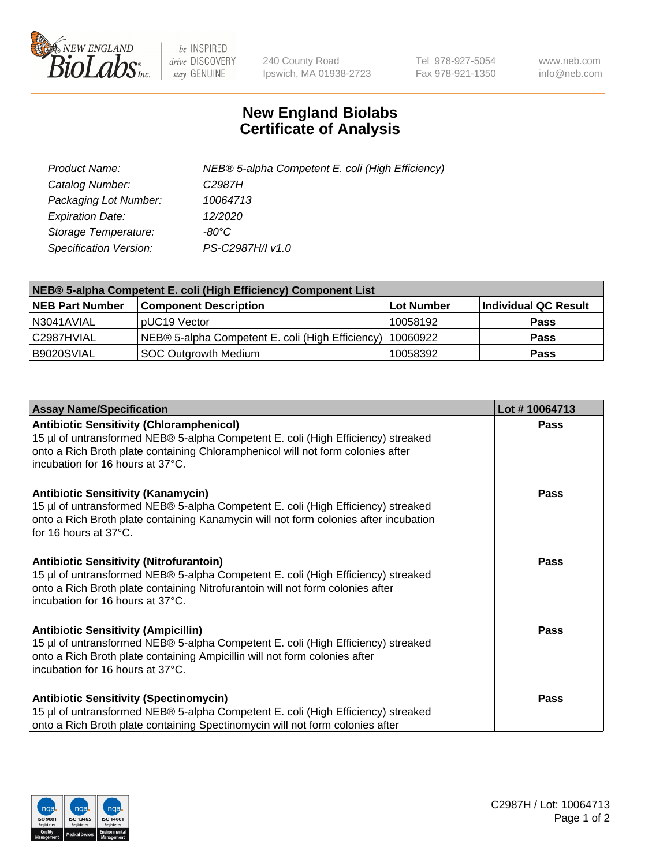

 $be$  INSPIRED drive DISCOVERY stay GENUINE

240 County Road Ipswich, MA 01938-2723 Tel 978-927-5054 Fax 978-921-1350 www.neb.com info@neb.com

## **New England Biolabs Certificate of Analysis**

| Product Name:           | NEB® 5-alpha Competent E. coli (High Efficiency) |
|-------------------------|--------------------------------------------------|
| Catalog Number:         | C <sub>2987</sub> H                              |
| Packaging Lot Number:   | 10064713                                         |
| <b>Expiration Date:</b> | 12/2020                                          |
| Storage Temperature:    | -80°C                                            |
| Specification Version:  | PS-C2987H/I v1.0                                 |

| NEB® 5-alpha Competent E. coli (High Efficiency) Component List |                                                  |            |                      |  |
|-----------------------------------------------------------------|--------------------------------------------------|------------|----------------------|--|
| <b>NEB Part Number</b>                                          | <b>Component Description</b>                     | Lot Number | Individual QC Result |  |
| N3041AVIAL                                                      | pUC19 Vector                                     | 10058192   | <b>Pass</b>          |  |
| C2987HVIAL                                                      | NEB® 5-alpha Competent E. coli (High Efficiency) | 10060922   | <b>Pass</b>          |  |
| B9020SVIAL                                                      | <b>SOC Outgrowth Medium</b>                      | 10058392   | <b>Pass</b>          |  |

| <b>Assay Name/Specification</b>                                                                                                                                                                                                                            | Lot #10064713 |
|------------------------------------------------------------------------------------------------------------------------------------------------------------------------------------------------------------------------------------------------------------|---------------|
| <b>Antibiotic Sensitivity (Chloramphenicol)</b><br>15 µl of untransformed NEB® 5-alpha Competent E. coli (High Efficiency) streaked<br>onto a Rich Broth plate containing Chloramphenicol will not form colonies after<br>incubation for 16 hours at 37°C. | Pass          |
| <b>Antibiotic Sensitivity (Kanamycin)</b><br>15 µl of untransformed NEB® 5-alpha Competent E. coli (High Efficiency) streaked<br>onto a Rich Broth plate containing Kanamycin will not form colonies after incubation<br>for 16 hours at 37°C.             | Pass          |
| <b>Antibiotic Sensitivity (Nitrofurantoin)</b><br>15 µl of untransformed NEB® 5-alpha Competent E. coli (High Efficiency) streaked<br>onto a Rich Broth plate containing Nitrofurantoin will not form colonies after<br>incubation for 16 hours at 37°C.   | <b>Pass</b>   |
| <b>Antibiotic Sensitivity (Ampicillin)</b><br>15 µl of untransformed NEB® 5-alpha Competent E. coli (High Efficiency) streaked<br>onto a Rich Broth plate containing Ampicillin will not form colonies after<br>incubation for 16 hours at 37°C.           | <b>Pass</b>   |
| <b>Antibiotic Sensitivity (Spectinomycin)</b><br>15 µl of untransformed NEB® 5-alpha Competent E. coli (High Efficiency) streaked<br>onto a Rich Broth plate containing Spectinomycin will not form colonies after                                         | Pass          |